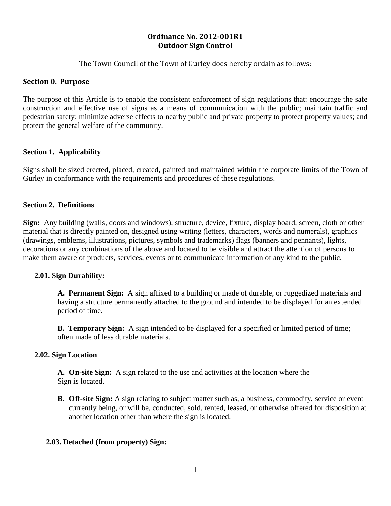# **Ordinance No. 2012-001R1 Outdoor Sign Control**

The Town Council of the Town of Gurley does hereby ordain as follows:

### **Section 0. Purpose**

The purpose of this Article is to enable the consistent enforcement of sign regulations that: encourage the safe construction and effective use of signs as a means of communication with the public; maintain traffic and pedestrian safety; minimize adverse effects to nearby public and private property to protect property values; and protect the general welfare of the community.

### **Section 1. Applicability**

Signs shall be sized erected, placed, created, painted and maintained within the corporate limits of the Town of Gurley in conformance with the requirements and procedures of these regulations.

### **Section 2. Definitions**

**Sign:** Any building (walls, doors and windows), structure, device, fixture, display board, screen, cloth or other material that is directly painted on, designed using writing (letters, characters, words and numerals), graphics (drawings, emblems, illustrations, pictures, symbols and trademarks) flags (banners and pennants), lights, decorations or any combinations of the above and located to be visible and attract the attention of persons to make them aware of products, services, events or to communicate information of any kind to the public.

### **2.01. Sign Durability:**

**A. Permanent Sign:** A sign affixed to a building or made of durable, or ruggedized materials and having a structure permanently attached to the ground and intended to be displayed for an extended period of time.

**B. Temporary Sign:** A sign intended to be displayed for a specified or limited period of time; often made of less durable materials.

### **2.02. Sign Location**

**A. On-site Sign:** A sign related to the use and activities at the location where the Sign is located.

**B. Off-site Sign:** A sign relating to subject matter such as, a business, commodity, service or event currently being, or will be, conducted, sold, rented, leased, or otherwise offered for disposition at another location other than where the sign is located.

### **2.03. Detached (from property) Sign:**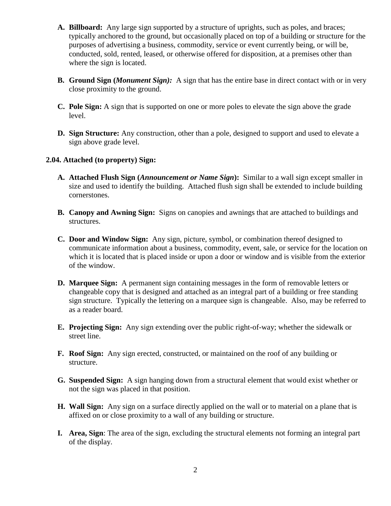- **A. Billboard:** Any large sign supported by a structure of uprights, such as poles, and braces; typically anchored to the ground, but occasionally placed on top of a building or structure for the purposes of advertising a business, commodity, service or event currently being, or will be, conducted, sold, rented, leased, or otherwise offered for disposition, at a premises other than where the sign is located.
- **B. Ground Sign (***Monument Sign):* A sign that has the entire base in direct contact with or in very close proximity to the ground.
- **C. Pole Sign:** A sign that is supported on one or more poles to elevate the sign above the grade level.
- **D. Sign Structure:** Any construction, other than a pole, designed to support and used to elevate a sign above grade level.

### **2.04. Attached (to property) Sign:**

- **A. Attached Flush Sign (***Announcement or Name Sign***):** Similar to a wall sign except smaller in size and used to identify the building. Attached flush sign shall be extended to include building cornerstones.
- **B. Canopy and Awning Sign:** Signs on canopies and awnings that are attached to buildings and structures.
- **C. Door and Window Sign:** Any sign, picture, symbol, or combination thereof designed to communicate information about a business, commodity, event, sale, or service for the location on which it is located that is placed inside or upon a door or window and is visible from the exterior of the window.
- **D. Marquee Sign:** A permanent sign containing messages in the form of removable letters or changeable copy that is designed and attached as an integral part of a building or free standing sign structure. Typically the lettering on a marquee sign is changeable. Also, may be referred to as a reader board.
- **E. Projecting Sign:** Any sign extending over the public right-of-way; whether the sidewalk or street line.
- **F. Roof Sign:** Any sign erected, constructed, or maintained on the roof of any building or structure.
- **G. Suspended Sign:** A sign hanging down from a structural element that would exist whether or not the sign was placed in that position.
- **H. Wall Sign:** Any sign on a surface directly applied on the wall or to material on a plane that is affixed on or close proximity to a wall of any building or structure.
- **I. Area, Sign**: The area of the sign, excluding the structural elements not forming an integral part of the display.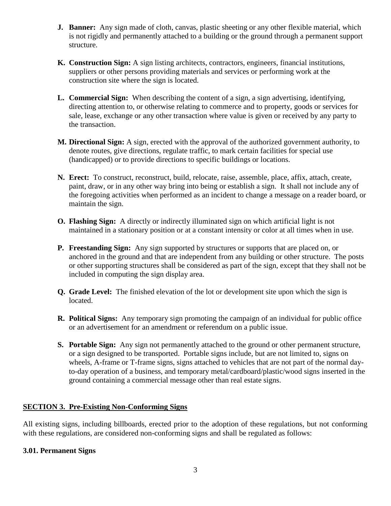- **J. Banner:** Any sign made of cloth, canvas, plastic sheeting or any other flexible material, which is not rigidly and permanently attached to a building or the ground through a permanent support structure.
- **K. Construction Sign:** A sign listing architects, contractors, engineers, financial institutions, suppliers or other persons providing materials and services or performing work at the construction site where the sign is located.
- **L. Commercial Sign:** When describing the content of a sign, a sign advertising, identifying, directing attention to, or otherwise relating to commerce and to property, goods or services for sale, lease, exchange or any other transaction where value is given or received by any party to the transaction.
- **M. Directional Sign:** A sign, erected with the approval of the authorized government authority, to denote routes, give directions, regulate traffic, to mark certain facilities for special use (handicapped) or to provide directions to specific buildings or locations.
- **N. Erect:** To construct, reconstruct, build, relocate, raise, assemble, place, affix, attach, create, paint, draw, or in any other way bring into being or establish a sign. It shall not include any of the foregoing activities when performed as an incident to change a message on a reader board, or maintain the sign.
- **O. Flashing Sign:** A directly or indirectly illuminated sign on which artificial light is not maintained in a stationary position or at a constant intensity or color at all times when in use.
- **P. Freestanding Sign:** Any sign supported by structures or supports that are placed on, or anchored in the ground and that are independent from any building or other structure. The posts or other supporting structures shall be considered as part of the sign, except that they shall not be included in computing the sign display area.
- **Q. Grade Level:** The finished elevation of the lot or development site upon which the sign is located.
- **R. Political Signs:** Any temporary sign promoting the campaign of an individual for public office or an advertisement for an amendment or referendum on a public issue.
- **S. Portable Sign:** Any sign not permanently attached to the ground or other permanent structure, or a sign designed to be transported. Portable signs include, but are not limited to, signs on wheels, A-frame or T-frame signs, signs attached to vehicles that are not part of the normal dayto-day operation of a business, and temporary metal/cardboard/plastic/wood signs inserted in the ground containing a commercial message other than real estate signs.

# **SECTION 3. Pre-Existing Non-Conforming Signs**

All existing signs, including billboards, erected prior to the adoption of these regulations, but not conforming with these regulations, are considered non-conforming signs and shall be regulated as follows:

# **3.01. Permanent Signs**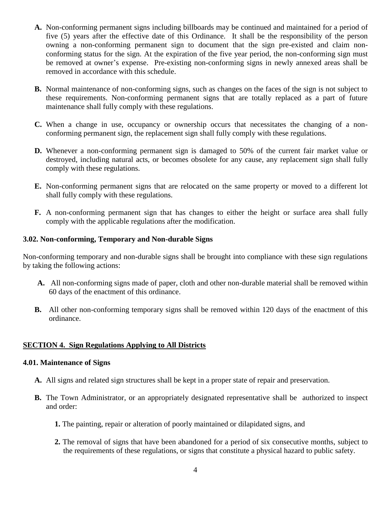- **A.** Non-conforming permanent signs including billboards may be continued and maintained for a period of five (5) years after the effective date of this Ordinance. It shall be the responsibility of the person owning a non-conforming permanent sign to document that the sign pre-existed and claim nonconforming status for the sign. At the expiration of the five year period, the non-conforming sign must be removed at owner's expense. Pre-existing non-conforming signs in newly annexed areas shall be removed in accordance with this schedule.
- **B.** Normal maintenance of non-conforming signs, such as changes on the faces of the sign is not subject to these requirements. Non-conforming permanent signs that are totally replaced as a part of future maintenance shall fully comply with these regulations.
- **C.** When a change in use, occupancy or ownership occurs that necessitates the changing of a nonconforming permanent sign, the replacement sign shall fully comply with these regulations.
- **D.** Whenever a non-conforming permanent sign is damaged to 50% of the current fair market value or destroyed, including natural acts, or becomes obsolete for any cause, any replacement sign shall fully comply with these regulations.
- **E.** Non-conforming permanent signs that are relocated on the same property or moved to a different lot shall fully comply with these regulations.
- **F.** A non-conforming permanent sign that has changes to either the height or surface area shall fully comply with the applicable regulations after the modification.

### **3.02. Non-conforming, Temporary and Non-durable Signs**

Non-conforming temporary and non-durable signs shall be brought into compliance with these sign regulations by taking the following actions:

- **A.** All non-conforming signs made of paper, cloth and other non-durable material shall be removed within 60 days of the enactment of this ordinance.
- **B.** All other non-conforming temporary signs shall be removed within 120 days of the enactment of this ordinance.

# **SECTION 4. Sign Regulations Applying to All Districts**

### **4.01. Maintenance of Signs**

- **A.** All signs and related sign structures shall be kept in a proper state of repair and preservation.
- **B.** The Town Administrator, or an appropriately designated representative shall be authorized to inspect and order:
	- **1.** The painting, repair or alteration of poorly maintained or dilapidated signs, and
	- **2.** The removal of signs that have been abandoned for a period of six consecutive months, subject to the requirements of these regulations, or signs that constitute a physical hazard to public safety.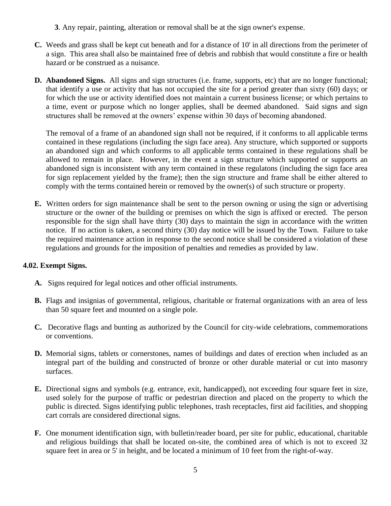- **3**. Any repair, painting, alteration or removal shall be at the sign owner's expense.
- **C.** Weeds and grass shall be kept cut beneath and for a distance of 10' in all directions from the perimeter of a sign. This area shall also be maintained free of debris and rubbish that would constitute a fire or health hazard or be construed as a nuisance.
- **D. Abandoned Signs.** All signs and sign structures (i.e. frame, supports, etc) that are no longer functional; that identify a use or activity that has not occupied the site for a period greater than sixty (60) days; or for which the use or activity identified does not maintain a current business license; or which pertains to a time, event or purpose which no longer applies, shall be deemed abandoned. Said signs and sign structures shall be removed at the owners' expense within 30 days of becoming abandoned.

The removal of a frame of an abandoned sign shall not be required, if it conforms to all applicable terms contained in these regulations (including the sign face area). Any structure, which supported or supports an abandoned sign and which conforms to all applicable terms contained in these regulations shall be allowed to remain in place. However, in the event a sign structure which supported or supports an abandoned sign is inconsistent with any term contained in these regulatons (including the sign face area for sign replacement yielded by the frame); then the sign structure and frame shall be either altered to comply with the terms contained herein or removed by the owner(s) of such structure or property.

**E.** Written orders for sign maintenance shall be sent to the person owning or using the sign or advertising structure or the owner of the building or premises on which the sign is affixed or erected. The person responsible for the sign shall have thirty (30) days to maintain the sign in accordance with the written notice. If no action is taken, a second thirty (30) day notice will be issued by the Town. Failure to take the required maintenance action in response to the second notice shall be considered a violation of these regulations and grounds for the imposition of penalties and remedies as provided by law.

# **4.02. Exempt Signs.**

- **A.** Signs required for legal notices and other official instruments.
- **B.** Flags and insignias of governmental, religious, charitable or fraternal organizations with an area of less than 50 square feet and mounted on a single pole.
- **C.** Decorative flags and bunting as authorized by the Council for city-wide celebrations, commemorations or conventions.
- **D.** Memorial signs, tablets or cornerstones, names of buildings and dates of erection when included as an integral part of the building and constructed of bronze or other durable material or cut into masonry surfaces.
- **E.** Directional signs and symbols (e.g. entrance, exit, handicapped), not exceeding four square feet in size, used solely for the purpose of traffic or pedestrian direction and placed on the property to which the public is directed. Signs identifying public telephones, trash receptacles, first aid facilities, and shopping cart corrals are considered directional signs.
- **F.** One monument identification sign, with bulletin/reader board, per site for public, educational, charitable and religious buildings that shall be located on-site, the combined area of which is not to exceed 32 square feet in area or 5' in height, and be located a minimum of 10 feet from the right-of-way.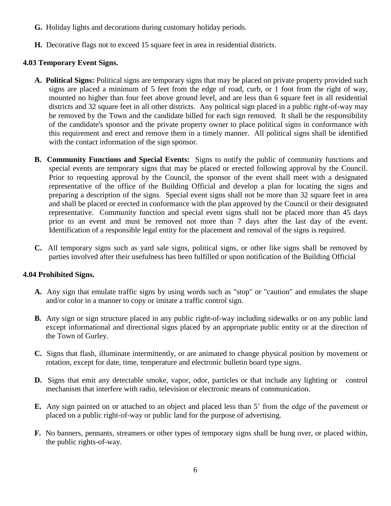- **G.** Holiday lights and decorations during customary holiday periods.
- **H.** Decorative flags not to exceed 15 square feet in area in residential districts.

### **4.03 Temporary Event Signs.**

- **A. Political Signs:** Political signs are temporary signs that may be placed on private property provided such signs are placed a minimum of 5 feet from the edge of road, curb, or 1 foot from the right of way, mounted no higher than four feet above ground level, and are less than 6 square feet in all residential districts and 32 square feet in all other districts. Any political sign placed in a public right-of-way may be removed by the Town and the candidate billed for each sign removed. It shall be the responsibility of the candidate's sponsor and the private property owner to place political signs in conformance with this requirement and erect and remove them in a timely manner. All political signs shall be identified with the contact information of the sign sponsor.
- **B. Community Functions and Special Events:** Signs to notify the public of community functions and special events are temporary signs that may be placed or erected following approval by the Council. Prior to requesting approval by the Council, the sponsor of the event shall meet with a designated representative of the office of the Building Official and develop a plan for locating the signs and preparing a description of the signs. Special event signs shall not be more than 32 square feet in area and shall be placed or erected in conformance with the plan approved by the Council or their designated representative. Community function and special event signs shall not be placed more than 45 days prior to an event and must be removed not more than 7 days after the last day of the event. Identification of a responsible legal entity for the placement and removal of the signs is required.
- **C.** All temporary signs such as yard sale signs, political signs, or other like signs shall be removed by parties involved after their usefulness has been fulfilled or upon notification of the Building Official

# **4.04 Prohibited Signs.**

- **A.** Any sign that emulate traffic signs by using words such as "stop" or "caution" and emulates the shape and/or color in a manner to copy or imitate a traffic control sign.
- **B.** Any sign or sign structure placed in any public right-of-way including sidewalks or on any public land except informational and directional signs placed by an appropriate public entity or at the direction of the Town of Gurley.
- **C.** Signs that flash, illuminate intermittently, or are animated to change physical position by movement or rotation, except for date, time, temperature and electronic bulletin board type signs.
- **D.** Signs that emit any detectable smoke, vapor, odor, particles or that include any lighting or control mechanism that interfere with radio, television or electronic means of communication.
- **E.** Any sign painted on or attached to an object and placed less than 5' from the edge of the pavement or placed on a public right-of-way or public land for the purpose of advertising.
- **F.** No banners, pennants, streamers or other types of temporary signs shall be hung over, or placed within, the public rights-of-way.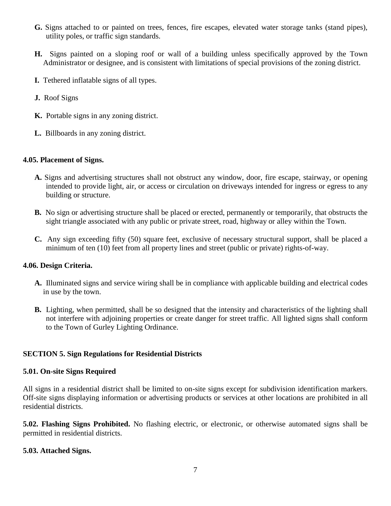- **G.** Signs attached to or painted on trees, fences, fire escapes, elevated water storage tanks (stand pipes), utility poles, or traffic sign standards.
- **H.** Signs painted on a sloping roof or wall of a building unless specifically approved by the Town Administrator or designee, and is consistent with limitations of special provisions of the zoning district.
- **I.** Tethered inflatable signs of all types.
- **J.** Roof Signs
- **K.** Portable signs in any zoning district.
- **L.** Billboards in any zoning district.

### **4.05. Placement of Signs.**

- **A.** Signs and advertising structures shall not obstruct any window, door, fire escape, stairway, or opening intended to provide light, air, or access or circulation on driveways intended for ingress or egress to any building or structure.
- **B.** No sign or advertising structure shall be placed or erected, permanently or temporarily, that obstructs the sight triangle associated with any public or private street, road, highway or alley within the Town.
- **C.** Any sign exceeding fifty (50) square feet, exclusive of necessary structural support, shall be placed a minimum of ten (10) feet from all property lines and street (public or private) rights-of-way.

### **4.06. Design Criteria.**

- **A.** Illuminated signs and service wiring shall be in compliance with applicable building and electrical codes in use by the town.
- **B.** Lighting, when permitted, shall be so designed that the intensity and characteristics of the lighting shall not interfere with adjoining properties or create danger for street traffic. All lighted signs shall conform to the Town of Gurley Lighting Ordinance.

### **SECTION 5. Sign Regulations for Residential Districts**

#### **5.01. On-site Signs Required**

All signs in a residential district shall be limited to on-site signs except for subdivision identification markers. Off-site signs displaying information or advertising products or services at other locations are prohibited in all residential districts.

**5.02. Flashing Signs Prohibited.** No flashing electric, or electronic, or otherwise automated signs shall be permitted in residential districts.

### **5.03. Attached Signs.**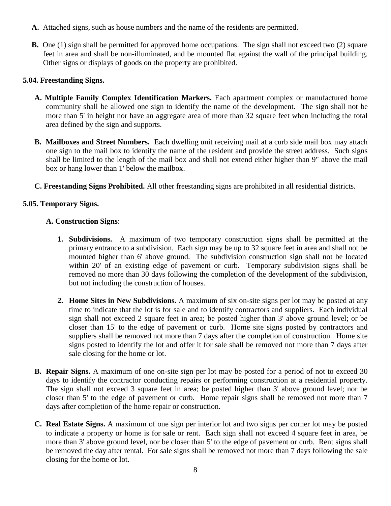- **A.** Attached signs, such as house numbers and the name of the residents are permitted.
- **B.** One (1) sign shall be permitted for approved home occupations. The sign shall not exceed two (2) square feet in area and shall be non-illuminated, and be mounted flat against the wall of the principal building. Other signs or displays of goods on the property are prohibited.

### **5.04. Freestanding Signs.**

- **A. Multiple Family Complex Identification Markers.** Each apartment complex or manufactured home community shall be allowed one sign to identify the name of the development. The sign shall not be more than 5' in height nor have an aggregate area of more than 32 square feet when including the total area defined by the sign and supports.
- **B. Mailboxes and Street Numbers.** Each dwelling unit receiving mail at a curb side mail box may attach one sign to the mail box to identify the name of the resident and provide the street address. Such signs shall be limited to the length of the mail box and shall not extend either higher than 9" above the mail box or hang lower than 1' below the mailbox.
- **C. Freestanding Signs Prohibited.** All other freestanding signs are prohibited in all residential districts.

### **5.05. Temporary Signs.**

### **A. Construction Signs**:

- **1. Subdivisions.** A maximum of two temporary construction signs shall be permitted at the primary entrance to a subdivision. Each sign may be up to 32 square feet in area and shall not be mounted higher than 6' above ground. The subdivision construction sign shall not be located within 20' of an existing edge of pavement or curb. Temporary subdivision signs shall be removed no more than 30 days following the completion of the development of the subdivision, but not including the construction of houses.
- **2. Home Sites in New Subdivisions.** A maximum of six on-site signs per lot may be posted at any time to indicate that the lot is for sale and to identify contractors and suppliers. Each individual sign shall not exceed 2 square feet in area; be posted higher than 3' above ground level; or be closer than 15' to the edge of pavement or curb. Home site signs posted by contractors and suppliers shall be removed not more than 7 days after the completion of construction. Home site signs posted to identify the lot and offer it for sale shall be removed not more than 7 days after sale closing for the home or lot.
- **B. Repair Signs.** A maximum of one on-site sign per lot may be posted for a period of not to exceed 30 days to identify the contractor conducting repairs or performing construction at a residential property. The sign shall not exceed 3 square feet in area; be posted higher than 3' above ground level; nor be closer than 5' to the edge of pavement or curb. Home repair signs shall be removed not more than 7 days after completion of the home repair or construction.
- **C. Real Estate Signs.** A maximum of one sign per interior lot and two signs per corner lot may be posted to indicate a property or home is for sale or rent. Each sign shall not exceed 4 square feet in area, be more than 3' above ground level, nor be closer than 5' to the edge of pavement or curb. Rent signs shall be removed the day after rental. For sale signs shall be removed not more than 7 days following the sale closing for the home or lot.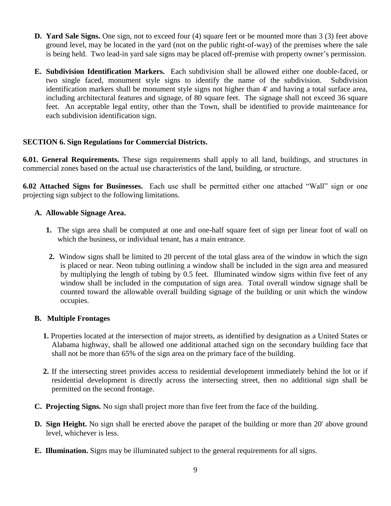- **D. Yard Sale Signs.** One sign, not to exceed four (4) square feet or be mounted more than 3 (3) feet above ground level, may be located in the yard (not on the public right-of-way) of the premises where the sale is being held. Two lead-in yard sale signs may be placed off-premise with property owner's permission.
- **E. Subdivision Identification Markers.** Each subdivision shall be allowed either one double-faced, or two single faced, monument style signs to identify the name of the subdivision. Subdivision identification markers shall be monument style signs not higher than 4' and having a total surface area, including architectural features and signage, of 80 square feet. The signage shall not exceed 36 square feet. An acceptable legal entity, other than the Town, shall be identified to provide maintenance for each subdivision identification sign.

### **SECTION 6. Sign Regulations for Commercial Districts.**

**6.01. General Requirements.** These sign requirements shall apply to all land, buildings, and structures in commercial zones based on the actual use characteristics of the land, building, or structure.

**6.02 Attached Signs for Businesses.** Each use shall be permitted either one attached "Wall" sign or one projecting sign subject to the following limitations.

### **A. Allowable Signage Area.**

- **1.** The sign area shall be computed at one and one-half square feet of sign per linear foot of wall on which the business, or individual tenant, has a main entrance.
- **2.** Window signs shall be limited to 20 percent of the total glass area of the window in which the sign is placed or near. Neon tubing outlining a window shall be included in the sign area and measured by multiplying the length of tubing by 0.5 feet. Illuminated window signs within five feet of any window shall be included in the computation of sign area. Total overall window signage shall be counted toward the allowable overall building signage of the building or unit which the window occupies.

# **B. Multiple Frontages**

- **1.** Properties located at the intersection of major streets, as identified by designation as a United States or Alabama highway, shall be allowed one additional attached sign on the secondary building face that shall not be more than 65% of the sign area on the primary face of the building.
- **2.** If the intersecting street provides access to residential development immediately behind the lot or if residential development is directly across the intersecting street, then no additional sign shall be permitted on the second frontage.
- **C. Projecting Signs.** No sign shall project more than five feet from the face of the building.
- **D. Sign Height.** No sign shall be erected above the parapet of the building or more than 20' above ground level, whichever is less.
- **E. Illumination.** Signs may be illuminated subject to the general requirements for all signs.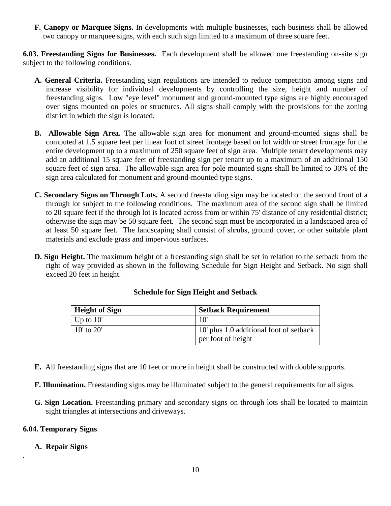**F. Canopy or Marquee Signs.** In developments with multiple businesses, each business shall be allowed two canopy or marquee signs, with each such sign limited to a maximum of three square feet.

**6.03. Freestanding Signs for Businesses.** Each development shall be allowed one freestanding on-site sign subject to the following conditions.

- **A. General Criteria.** Freestanding sign regulations are intended to reduce competition among signs and increase visibility for individual developments by controlling the size, height and number of freestanding signs. Low "eye level" monument and ground-mounted type signs are highly encouraged over signs mounted on poles or structures. All signs shall comply with the provisions for the zoning district in which the sign is located.
- **B. Allowable Sign Area.** The allowable sign area for monument and ground-mounted signs shall be computed at 1.5 square feet per linear foot of street frontage based on lot width or street frontage for the entire development up to a maximum of 250 square feet of sign area. Multiple tenant developments may add an additional 15 square feet of freestanding sign per tenant up to a maximum of an additional 150 square feet of sign area. The allowable sign area for pole mounted signs shall be limited to 30% of the sign area calculated for monument and ground-mounted type signs.
- **C. Secondary Signs on Through Lots.** A second freestanding sign may be located on the second front of a through lot subject to the following conditions. The maximum area of the second sign shall be limited to 20 square feet if the through lot is located across from or within 75' distance of any residential district; otherwise the sign may be 50 square feet. The second sign must be incorporated in a landscaped area of at least 50 square feet. The landscaping shall consist of shrubs, ground cover, or other suitable plant materials and exclude grass and impervious surfaces.
- **D. Sign Height.** The maximum height of a freestanding sign shall be set in relation to the setback from the right of way provided as shown in the following Schedule for Sign Height and Setback. No sign shall exceed 20 feet in height.

| <b>Height of Sign</b> | <b>Setback Requirement</b>              |
|-----------------------|-----------------------------------------|
| Up to $10'$           |                                         |
| $10'$ to $20'$        | 10' plus 1.0 additional foot of setback |
|                       | per foot of height                      |

# **Schedule for Sign Height and Setback**

- **E.** All freestanding signs that are 10 feet or more in height shall be constructed with double supports.
- **F. Illumination.** Freestanding signs may be illuminated subject to the general requirements for all signs.
- **G. Sign Location.** Freestanding primary and secondary signs on through lots shall be located to maintain sight triangles at intersections and driveways.

# **6.04. Temporary Signs**

# **A. Repair Signs**

*.*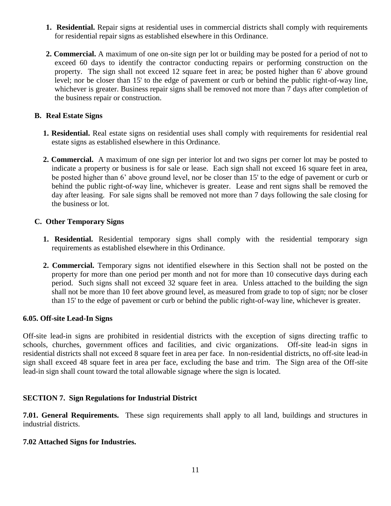- **1. Residential.** Repair signs at residential uses in commercial districts shall comply with requirements for residential repair signs as established elsewhere in this Ordinance.
- **2. Commercial.** A maximum of one on-site sign per lot or building may be posted for a period of not to exceed 60 days to identify the contractor conducting repairs or performing construction on the property. The sign shall not exceed 12 square feet in area; be posted higher than 6' above ground level; nor be closer than 15' to the edge of pavement or curb or behind the public right-of-way line, whichever is greater. Business repair signs shall be removed not more than 7 days after completion of the business repair or construction.

# **B. Real Estate Signs**

- **1. Residential.** Real estate signs on residential uses shall comply with requirements for residential real estate signs as established elsewhere in this Ordinance.
- **2. Commercial.** A maximum of one sign per interior lot and two signs per corner lot may be posted to indicate a property or business is for sale or lease. Each sign shall not exceed 16 square feet in area, be posted higher than 6' above ground level, nor be closer than 15' to the edge of pavement or curb or behind the public right-of-way line, whichever is greater. Lease and rent signs shall be removed the day after leasing. For sale signs shall be removed not more than 7 days following the sale closing for the business or lot.

### **C. Other Temporary Signs**

- **1. Residential.** Residential temporary signs shall comply with the residential temporary sign requirements as established elsewhere in this Ordinance.
- **2. Commercial.** Temporary signs not identified elsewhere in this Section shall not be posted on the property for more than one period per month and not for more than 10 consecutive days during each period. Such signs shall not exceed 32 square feet in area. Unless attached to the building the sign shall not be more than 10 feet above ground level, as measured from grade to top of sign; nor be closer than 15' to the edge of pavement or curb or behind the public right-of-way line, whichever is greater.

### **6.05. Off-site Lead-In Signs**

Off-site lead-in signs are prohibited in residential districts with the exception of signs directing traffic to schools, churches, government offices and facilities, and civic organizations. Off-site lead-in signs in residential districts shall not exceed 8 square feet in area per face. In non-residential districts, no off-site lead-in sign shall exceed 48 square feet in area per face, excluding the base and trim. The Sign area of the Off-site lead-in sign shall count toward the total allowable signage where the sign is located.

# **SECTION 7. Sign Regulations for Industrial District**

**7.01. General Requirements.** These sign requirements shall apply to all land, buildings and structures in industrial districts.

### **7.02 Attached Signs for Industries.**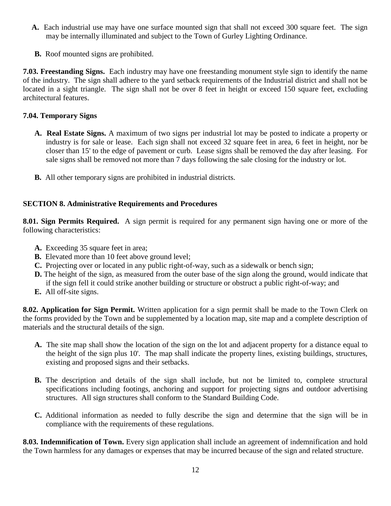- **A.** Each industrial use may have one surface mounted sign that shall not exceed 300 square feet. The sign may be internally illuminated and subject to the Town of Gurley Lighting Ordinance.
- **B.** Roof mounted signs are prohibited.

**7.03. Freestanding Signs.**Each industry may have one freestanding monument style sign to identify the name of the industry. The sign shall adhere to the yard setback requirements of the Industrial district and shall not be located in a sight triangle. The sign shall not be over 8 feet in height or exceed 150 square feet, excluding architectural features.

# **7.04. Temporary Signs**

- **A. Real Estate Signs.** A maximum of two signs per industrial lot may be posted to indicate a property or industry is for sale or lease. Each sign shall not exceed 32 square feet in area, 6 feet in height, nor be closer than 15' to the edge of pavement or curb. Lease signs shall be removed the day after leasing. For sale signs shall be removed not more than 7 days following the sale closing for the industry or lot.
- **B.** All other temporary signs are prohibited in industrial districts.

# **SECTION 8. Administrative Requirements and Procedures**

**8.01. Sign Permits Required.**A sign permit is required for any permanent sign having one or more of the following characteristics:

- **A.** Exceeding 35 square feet in area;
- **B.** Elevated more than 10 feet above ground level;
- **C.** Projecting over or located in any public right-of-way, such as a sidewalk or bench sign;
- **D.** The height of the sign, as measured from the outer base of the sign along the ground, would indicate that if the sign fell it could strike another building or structure or obstruct a public right-of-way; and
- **E.** All off-site signs.

**8.02. Application for Sign Permit.** Written application for a sign permit shall be made to the Town Clerk on the forms provided by the Town and be supplemented by a location map, site map and a complete description of materials and the structural details of the sign.

- **A.** The site map shall show the location of the sign on the lot and adjacent property for a distance equal to the height of the sign plus 10'. The map shall indicate the property lines, existing buildings, structures, existing and proposed signs and their setbacks.
- **B.** The description and details of the sign shall include, but not be limited to, complete structural specifications including footings, anchoring and support for projecting signs and outdoor advertising structures. All sign structures shall conform to the Standard Building Code.
- **C.** Additional information as needed to fully describe the sign and determine that the sign will be in compliance with the requirements of these regulations.

**8.03. Indemnification of Town.** Every sign application shall include an agreement of indemnification and hold the Town harmless for any damages or expenses that may be incurred because of the sign and related structure.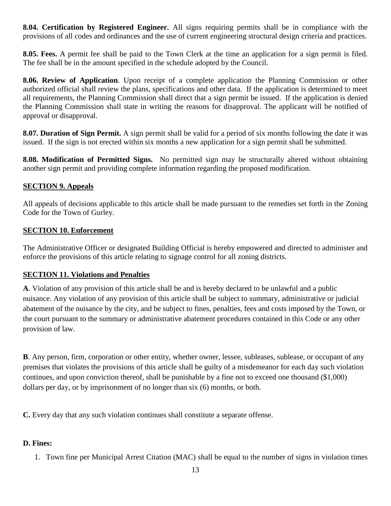**8.04. Certification by Registered Engineer.** All signs requiring permits shall be in compliance with the provisions of all codes and ordinances and the use of current engineering structural design criteria and practices.

**8.05. Fees.** A permit fee shall be paid to the Town Clerk at the time an application for a sign permit is filed. The fee shall be in the amount specified in the schedule adopted by the Council.

**8.06. Review of Application***.* Upon receipt of a complete application the Planning Commission or other authorized official shall review the plans, specifications and other data. If the application is determined to meet all requirements, the Planning Commission shall direct that a sign permit be issued. If the application is denied the Planning Commission shall state in writing the reasons for disapproval. The applicant will be notified of approval or disapproval.

**8.07. Duration of Sign Permit.** A sign permit shall be valid for a period of six months following the date it was issued. If the sign is not erected within six months a new application for a sign permit shall be submitted.

**8.08. Modification of Permitted Signs.** No permitted sign may be structurally altered without obtaining another sign permit and providing complete information regarding the proposed modification.

# **SECTION 9. Appeals**

All appeals of decisions applicable to this article shall be made pursuant to the remedies set forth in the Zoning Code for the Town of Gurley.

# **SECTION 10. Enforcement**

The Administrative Officer or designated Building Official is hereby empowered and directed to administer and enforce the provisions of this article relating to signage control for all zoning districts.

# **SECTION 11. Violations and Penalties**

**A**. Violation of any provision of this article shall be and is hereby declared to be unlawful and a public nuisance. Any violation of any provision of this article shall be subject to summary, administrative or judicial abatement of the nuisance by the city, and be subject to fines, penalties, fees and costs imposed by the Town, or the court pursuant to the summary or administrative abatement procedures contained in this Code or any other provision of law.

**B**. Any person, firm, corporation or other entity, whether owner, lessee, subleases, sublease, or occupant of any premises that violates the provisions of this article shall be guilty of a misdemeanor for each day such violation continues, and upon conviction thereof, shall be punishable by a fine not to exceed one thousand (\$1,000) dollars per day, or by imprisonment of no longer than six (6) months, or both.

**C.** Every day that any such violation continues shall constitute a separate offense.

# **D. Fines:**

1. Town fine per Municipal Arrest Citation (MAC) shall be equal to the number of signs in violation times